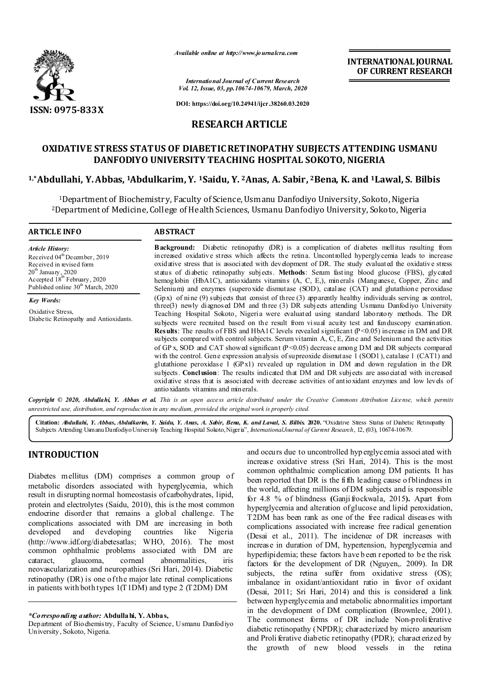

*Available online at http://www.journalcra.com*

**INTERNATIONAL JOURNAL OF CURRENT RESEARCH**

*International Journal of Current Research Vol. 12, Issue, 03, pp.10674-10679, March, 2020*

**DOI: https://doi.org/10.24941/ijcr.38260.03.2020**

## **RESEARCH ARTICLE**

# **OXIDATIVE STRESS STATUS OF DIABETIC RETINOPATHY SUBJECTS ATTENDING USMANU DANFODIYO UNIVERSITY TEACHING HOSPITAL SOKOTO, NIGERIA**

## **1,\*Abdullahi, Y. Abbas, 1Abdulkarim, Y. 1Saidu, Y. 2Anas, A. Sabir, 2Bena, K. and 1Lawal, S. Bilbis**

<sup>1</sup>Department of Biochemistry, Faculty of Science, Usmanu Danfodiyo University, Sokoto, Nigeria 2Department of Medicine, College of Health Sciences, Usmanu Danfodiyo University, Sokoto, Nigeria

#### **ARTICLE INFO ABSTRACT**

*Article History:* Received 04<sup>th</sup> December, 2019 Received in revised form  $20^{\rm th}$  January , 2020 Accepted 18<sup>th</sup> February, 2020 Published online 30<sup>th</sup> March, 2020

*Key Words:* Oxidative Stress, Diabetic Retinopathy and Antioxidants.

**Background:** Diabetic retinopathy (DR) is a complication of diabetes mellitus resulting from increased oxidative stress which affects the retina. Uncontrolled hyperglycemia leads to increase oxidative stress that is associated with development of DR. The study evaluated the oxidative stress status of diabetic retinopathy subjects. **Methods**: Serum fasting blood glucose (FBS), glycated hemoglobin (HbA1C), antioxidants vitamins (A, C, E,), minerals (Manganese, Copper, Zinc and Selenium) and enzymes (superoxide dismutase (SOD), catalase (CAT) and glutathione peroxidase (Gpx) of nine (9) subjects that consist of three (3) apparently healthy individuals serving as control, three(3) newly diagnosed DM and three (3) DR subjects attending Usmanu Danfodiyo University Teaching Hospital Sokoto, Nigeria were evaluated using standard laboratory methods. The DR subjects were recruited based on the result from visual acuity test and funduscopy examination. **Results**: The results of FBS and HbA1C levels revealed significant (P<0.05) increase in DM and DR subjects compared with control subjects. Serum vitamin A, C, E, Zinc and Selenium and the activities of GP x, SOD and CAT showed significant  $(P<0.05)$  decrease among DM and DR subjects compared with the control. Gene expression analysis of supreoxide dismutase 1 (SOD1), catalase 1 (CAT1) and glutathione peroxidase  $1$  (GPx1) revealed up regulation in DM and down regulation in the DR subjects. **Conclusion**: The results indicated that DM and DR subjects are associated with increased oxidative stress that is associated with decrease activities of antioxidant enzymes and low levels of antioxidants vitamins and minerals.

Copyright © 2020, Abdullahi, Y. Abbas et al. This is an open access article distributed under the Creative Commons Attribution License, which permits *unrestricted use, distribution, and reproduction in any medium, provided the original work is properly cited.*

**Citation:** *Abdullahi, Y. Abbas, Abdulkarim, Y. Saidu, Y. Anas, A. Sabir, Bena, K. and Lawal, S. Bilbis.* **2020.** "Oxidative Stress Status of Diabetic Retinopathy Subjects Attending Usmanu Danfodiyo University Teaching Hospital Sokoto, Nigeria", *InternationalJournal of Current Research*, 12, (03), 10674-10679.

# **INTRODUCTION**

Diabetes mellitus (DM) comprises a common group of metabolic disorders associated with hyperglycemia, which result in disrupting normal homeostasis of carbohydrates, lipid, protein and electrolytes (Saidu, 2010), this is the most common endocrine disorder that remains a global challenge. The complications associated with DM are increasing in both developed and developing countries like Nigeria (http://www.idf.org/diabetesatlas; WHO, 2016). The most common ophthalmic problems associated with DM are cataract, glaucoma, corneal abnormalities, iris neovascularization and neuropathies (Sri Hari, 2014). Diabetic retinopathy (DR) is one of the major late retinal complications in patients with both types 1(T1DM) and type 2 (T2DM) DM

and occurs due to uncontrolled hyp erglycemia associated with increase oxidative stress (Sri Hari, 2014). This is the most common ophthalmic complication among DM patients. It has been reported that DR is the fifth leading cause of blindness in the world, affecting millions of DM subjects and is responsible for 4.8 % of blindness **(**Ganji frockwala, 2015**).** Apart from hyperglycemia and alteration of glucose and lipid peroxidation, T2DM has been rank as one of the free radical diseases with complications associated with increase free radical generation (Desai et al., 2011). The incidence of DR increases with increase in duration of DM, hypertension, hyperglycemia and hyperlipidemia; these factors have b een reported to be the risk factors for the development of DR (Nguyen,. 2009). In DR subjects, the retina suffer from oxidative stress (OS); imbalance in oxidant/antioxidant ratio in favor of oxidant (Desai, 2011; Sri Hari, 2014) and this is considered a link between hyperglycemia and metabolic abnormalities important in the development of DM complication (Brownlee, 2001). The commonest forms of DR include Non-proliferative diabetic retinopathy (NPDR); characterized by micro aneurism and Proli ferative diabetic retinopathy (PDR); characterized by the growth of new blood vessels in the retina

*<sup>\*</sup>Corresponding author:* **Abdullahi, Y. Abbas,**

Department of Biochemistry, Faculty of Science, Usmanu Danfodiyo University, Sokoto, Nigeria.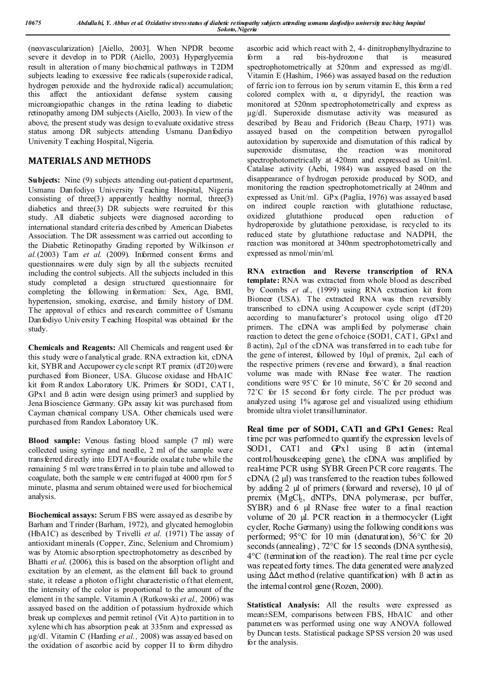(neovascularization) [Aiello, 2003]. When NPDR become severe it develop in to PDR (Aiello, 2003). Hyperglycemia result in alteration of many biochemical pathways in T2DM subjects leading to excessive free radicals (superoxide radical, hydrogen peroxide and the hydroxide radical) accumulation; this affect the antioxidant defense system causing microangiopathic changes in the retina leading to diabetic retinopathy among DM subjects (Aiello, 2003). In view of the above, the present study was design to evaluate oxidative stress status among DR subjects attending Usmanu Danfodiyo University T eaching Hospital, Nigeria.

## **MATERIALS AND METHODS**

**Subjects:** Nine (9) subjects attending out-patient d epartment, Usmanu Danfodiyo University Teaching Hospital, Nigeria consisting of three(3) apparently healthy normal, three(3) diabetics and three(3) DR subjects were recruited for this study. All diabetic subjects were diagnosed according to international standard criteria described by American Diabetes Association. The DR assessment was carried out according to the Diabetic Retinopathy Grading reported by Wilkinson *et al.*(2003) Tam *et al*. (2009). Informed consent forms and questionnaires were duly sign by all the subjects recruited including the control subjects. All the subjects included in this study completed a design structured questionnaire for completing the following information: Sex, Age, BMI, hypertension, smoking, exercise, and family history of DM. The approval of ethics and research committee of Usmanu Danfodiyo University T eaching Hospital was obtained for the study.

**Chemicals and Reagents:** All Chemicals and reagent used for this study were o fanalytical grade. RNA extraction kit, cDNA kit, SYBR and Accupower cycle script RT premix (dT20) were purchased from Bioneer, USA. Glucose oxidase and HbA1C kit from R andox Laboratory UK. Primers for SOD1, CAT1, GPx1 and  $\beta$  actin were design using primer3 and supplied by Jena Bioscience Germany. GPx assay kit was purchased from Cayman chemical company USA. Other chemicals used were purchased from Randox Laboratory UK.

**Blood sample:** Venous fasting blood sample (7 ml) were collected using syringe and needle, 2 ml of the sample were transferred directly into EDTA+flouride oxalate tube while the remaining 5 ml were transferred in to plain tube and allowed to coagulate, both the sample were centrifuged at 4000 rpm for 5 minute, plasma and serum obtained were used for biochemical analysis.

**Biochemical assays:** Serum FBS were assayed as describe by Barham and Trinder (Barham, 1972), and glycated hemoglobin (HbA1C) as described by Trivelli *et al.* (1971) The assay of antioxidant minerals (Copper, Zinc, Selenium and Chromium) was by Atomic absorption spectrophotometry as described by Bhatti *et al*. (2006), this is based on the absorption of light and excitation by an element, as the element fall back to ground state, it release a photon of light characteristic of that element, the intensity of the color is proportional to the amount of the element in the sample. Vitamin A (Rutkowski *et al.,* 2006) was assayed based on the addition of potassium hydroxide which break up complexes and permit retinol (Vit A) to partition in to xylene whi ch has absorption peak at 335nm and expressed as µg/dl. Vitamin C (Harding *et al.,* 2008) was assayed based on the oxidation of ascorbic acid by copper II to form dihydro

ascorbic acid which react with 2, 4- dinitrophenylhydrazine to<br>form a red bis-hydrozone that is measured form a red bis-hydrozone that is measured spectrophotometrically at 520nm and expressed as mg/dl. Vitamin E (Hashim, 1966) was assayed based on the reduction of ferric ion to ferrous ion by serum vitamin E, this form a red colored complex with  $\alpha$ ,  $\alpha$  dipyridyl, the reaction was monitored at 520nm spectrophotometrically and express as µg/dl. Superoxide dismutase activity was measured as described by Beau and Fridorich (Beau Charp, 1971) was assayed based on the competition between pyrogallol autoxidation by superoxide and dismutation of this radical by superoxide dismutase, the reaction was monitored spectrophotometrically at 420nm and expressed as Unit/ml. Catalase activity (Aebi, 1984) was assayed based on the disappearance of hydrogen peroxide produced by SOD, and monitoring the reaction spectrophotometrically at 240nm and expressed as Unit/ml. GPx (Paglia, 1976) was assayed based on indirect couple reaction with glutathione reductase, oxidized glutathione produced open reduction of hydroperoxide by glutathione peroxidase, is recycled to its reduced state by glutathione reductase and NADPH, the reaction was monitored at 340nm spectrophotometrically and expressed as nmol/min/ml.

**RNA extraction and Reverse transcription of RNA template:** RNA was extracted from whole blood as described by Coombs *et al.*, (1999) using RNA extraction kit from Bioneer (USA). The extracted RNA was then reversibly transcribed to cDNA using Accupower cycle script (dT20) according to manufacturer's protocol using oligo dT20 primers. The cDNA was amplified by polymerase chain reaction to detect the gene of choice (SOD1, CAT1, GPx1 and ß actin), 2µl of the cDNA was transferred in to each tube for the gene of interest, followed by 10µl of premix, 2µl each of the respective primers (reverse and forward), a final reaction volume was made with RNase free water. The reaction conditions were 95˚C for 10 minute, 56˚C for 20 second and 72°C for 15 second for forty circle. The pcr product was analyzed using 1% agarose gel and visualized using ethidium bromide ultra violet transilluminator.

**Real time pcr of SOD1, CAT1 and GPx1 Genes:** Real time pcr was performed to quantify the expression levels of SOD1, CAT1 and GPx1 using  $\beta$  actin (internal control/housekeeping gene), the cDNA was amplified by real-time PCR using SYBR Green PCR core reagents. The cDNA (2 µl) was transferred to the reaction tubes followed by adding 2 µl of primers (forward and reverse), 10 µl of premix (MgCl<sub>2</sub>, dNTPs, DNA polymerase, pcr buffer, SYBR) and 6 µl RNase free water to a final reaction volume of 20 µl. PCR reaction in a thermocycler (Light cycler, Roche Germany) using the following conditions was performed; 95°C for 10 min (denaturation), 56°C for 20 seconds (annealing), 72°C for 15 seconds (DNA synthesis), 4°C (termination of the reaction). The real time pcr cycle was repeated forty times. The data generated were analyzed using ∆∆ct method (relative quantification) with ß actin as the internal control gene (Rozen, 2000).

**Statistical Analysis:** All the results were expressed as mean±SEM, comparisons between FBS, HbA1C and other parameters was performed using one way ANOVA followed by Duncan tests. Statistical package SPSS version 20 was used for the analysis.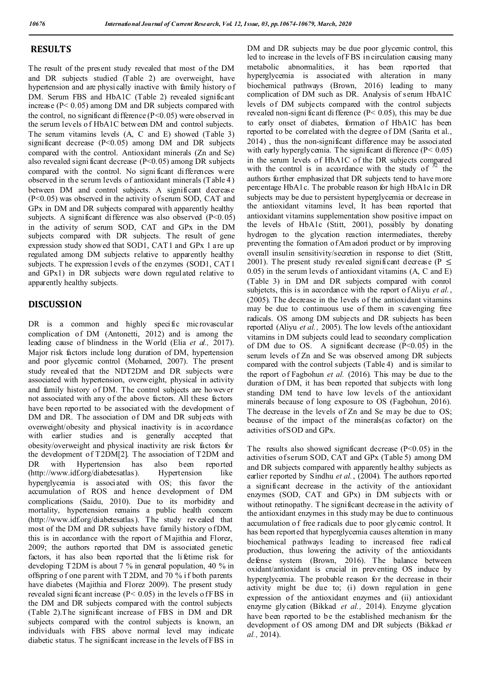#### **RESULTS**

The result of the present study revealed that most of the DM and DR subjects studied (Table 2) are overweight, have hypertension and are physi cally inactive with family history of DM. Serum FBS and HbA1C (Table 2) revealed significant increase (P< 0.05) among DM and DR subjects compared with the control, no significant difference  $(P<0.05)$  were observed in the serum levels o f HbA1C between DM and control subjects. The serum vitamins levels (A, C and E) showed (Table 3) significant decrease (P<0.05) among DM and DR subjects compared with the control. Antioxidant minerals (Zn and Se) also revealed significant decrease  $(P<0.05)$  among DR subjects compared with the control. No signi ficant differences were observed in the serum levels of antioxidant minerals (Table 4 ) between DM and control subjects. A significant decrease (P<0.05) was observed in the activity of serum SOD, CAT and GPx in DM and DR subjects compared with apparently healthy subjects. A significant difference was also observed  $(P<0.05)$ in the activity of serum SOD, CAT and GPx in the DM subjects compared with DR subjects. The result of gene expression study showed that SOD1, CAT1 and GPx 1 are up regulated among DM subjects relative to apparently healthy subjects. T he expression l evels of the enzymes (SOD1, CAT1 and GPx1) in DR subjects were down regulated relative to apparently healthy subjects.

# **DISCUSSION**

DR is a common and highly specific microvascular complication of DM (Antonetti, 2012) and is among the leading cause of blindness in the World (Elia *et al.,* 2017). Major risk factors include long duration of DM, hypertension and poor glycemic control (Mohamed, 2007). The present study revealed that the NDT2DM and DR subjects were associated with hypertension, overweight, physical in activity and family history of DM. The control subjects are however not associated with any of the above factors. All these factors have been reported to be associated with the development of DM and DR. The association of DM and DR subjects with overweight/obesity and physical inactivity is in accordance with earlier studies and is generally accepted that obesity/overweight and physical inactivity are risk factors for the development of T2DM[2]. The association of T2DM and DR with Hypertension has also been reported (http://www.idf.org/diabetesatlas). Hypertension like hyperglycemia is associated with OS; this favor the accumulation of ROS and hence development of DM complications (Saidu, 2010). Due to its morbidity and mortality, hypertension remains a public health concern (http://www.idf.org/diabetesatlas). The study revealed that most of the DM and DR subjects have family history of DM, this is in accordance with the report of Majithia and Florez, 2009; the authors reported that DM is associated genetic factors, it has also been reported that the li fetime risk for developing T2DM is about 7 % in general population, 40 % in offspring o f one parent with T 2DM, and 70 % i f both parents have diabetes (Majithia and Florez 2009). The present study revealed significant increase  $(P < 0.05)$  in the levels of FBS in the DM and DR subjects compared with the control subjects (Table 2).The significant increase of FBS in DM and DR subjects compared with the control subjects is known, an individuals with FBS above normal level may indicate diabetic status. T he significant increase in the levels of FBS in

DM and DR subjects may be due poor glycemic control, this led to increase in the levels of FBS in circulation causing many metabolic abnormalities, it has been reported that hyperglycemia is associated with alteration in many biochemical pathways (Brown, 2016) leading to many complication of DM such as DR. Analysis of serum HbA1C levels of DM subjects compared with the control subjects revealed non-signi ficant di fference (P˂ 0.05), this may be due to early onset of diabetes, formation of HbA1C has been reported to be correlated with the degree of DM (Sarita et al., 2014) , thus the non-significant difference may be associated with early hyperglycemia. The significant difference  $(P < 0.05)$ in the serum levels of HbA1C of the DR subjects compared with the control is in accordance with the study of  $52$  the authors further emphasized that DR subjects tend to have more percentage HbA1c. The probable reason for high HbA1c in DR subjects may be due to persistent hyperglycemia or decrease in the antioxidant vitamins level, It has been reported that antioxidant vitamins supplementation show positive impact on the levels of HbA1c (Stitt, 2001), possibly by donating hydrogen to the glycation reaction intermediates, thereby preventing the formation of Am adori product or by improving overall insulin sensitivity/secretion in response to diet (Stitt, 2001). The present study revealed significant decrease ( $P \leq$ 0.05) in the serum levels of antioxidant vitamins (A, C and E) (Table 3) in DM and DR subjects compared with conrol subjetcts, this is in accordance with the report o f Aliyu *et al.*, (2005). The decrease in the levels of the antioxidant vitamins may be due to continuous use of them in scavenging free radicals. OS among DM subjects and DR subjects has been reported (Aliyu *et al.,* 2005). The low levels of the antioxidant vitamins in DM subjects could lead to secondary complication of DM due to OS. A significant decrease  $(P<0.05)$  in the serum levels of Zn and Se was observed among DR subjects compared with the control subjects (Table 4) and is similar to the report of Fagbohun *et al.* (2016). This may be due to the duration of DM, it has been reported that subjects with long standing DM tend to have low levels of the antioxidant minerals because of long exposure to OS (Fagbohun, 2016). The decrease in the levels of Zn and Se may be due to OS; because of the impact of the minerals(as cofactor) on the activities of SOD and GPx.

The results also showed significant decrease  $(P<0.05)$  in the activities of serum SOD, CAT and GPx (Table 5) among DM and DR subjects compared with apparently healthy subjects as earlier reported by Sindhu *et al.*, (2004). The authors reported a significant decrease in the activity of the antioxidant enzymes (SOD, CAT and GPx) in DM subjects with or without retinopathy. The significant decrease in the activity of the antioxidant enzymes in this study may be due to continuous accumulation o f free radicals due to poor glycemic control. It has been reported that hyperglycemia causes alteration in many biochemical pathways leading to increased free radical production, thus lowering the activity of the antioxidants defense system (Brown, 2016). The balance between oxidant/antioxidant is crucial in preventing OS induce by hyperglycemia. The probable reason for the decrease in their activity might be due to; (i) down regulation in gene expression of the antioxidant enzymes and (ii) antioxidant enzyme glycation (Bikkad *et al.,* 2014). Enzyme glycation have been reported to be the established mechanism for the development of OS among DM and DR subjects (Bikkad *et al.,* 2014).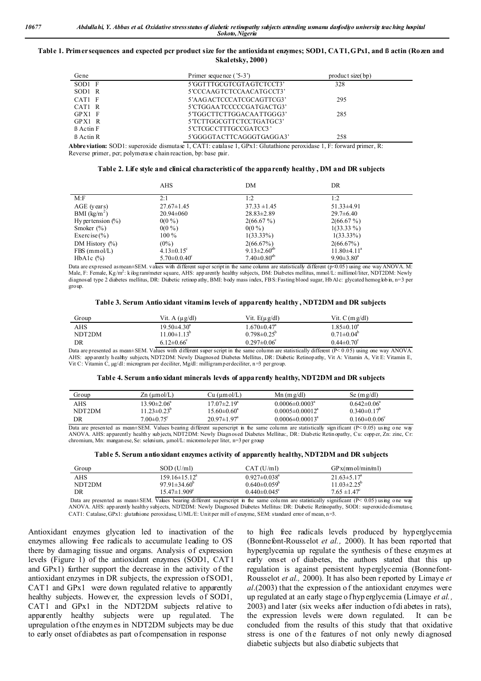#### **Table 1. Primer sequences and expected pcr product size for the antioxidant enzymes; SOD1, CAT1, GPx1, and ß actin (Rozen and Skaletsky, 2000)**

| Gene             | Primer sequence ('5-3')  | product size(bp) |
|------------------|--------------------------|------------------|
| $SOD1$ F         | 5'GGTTTGCGTCGTAGTCTCCT3' | 328              |
| SOD1 R           | 5'CCCAAGTCTCCAACATGCCT3' |                  |
| CAT1 F           | 5'AAGACTCCCATCGCAGTTCG3' | 295              |
| CAT1 R           | 5'CTGGAATCCCCCGATGACTG3' |                  |
| $GPX1$ F         | 5'TGGCTTCTTGGACAATTGGG3' | 285              |
| GPX1 R           | 5'TCTTGGCGTTCTCCTGATGC3' |                  |
| <b>B</b> Actin F | 5'CTCGCCTTTGCCGATCC3'    |                  |
| <b>B</b> Actin R | 5'GGGGTACTTCAGGGTGAGGA3' | 258              |

**Abbreviation:** SOD1: superoxide dismutase 1, CAT1: catalase 1, GPx1: Glutathione peroxidase 1, F: forward primer, R: Reverse primer, pcr; polymerase chain reaction, bp: base pair.

|                       | AHS                       | DM                            | DR                      |
|-----------------------|---------------------------|-------------------------------|-------------------------|
| M: F                  | 2:1                       | 1:2                           | 1:2                     |
| AGE (years)           | $27.67 \pm 1.45$          | $37.33 \pm 1.45$              | $51.33\pm4.91$          |
| BMI $(kg/m2)$         | $20.94 \pm 060$           | $28.83 \pm 2.89$              | $29.7 \pm 6.40$         |
| Hy per tension $(\%)$ | $0(0\%)$                  | 2(66.67%)                     | 2(66.67%)               |
| Smoker $(\% )$        | $0(0\%)$                  | $0(0\%)$                      | $1(33.33\%)$            |
| Exercise $(\% )$      | $100\%$                   | $1(33.33\%)$                  | $1(33.33\%)$            |
| DM History $(\%)$     | $(0\%)$                   | $2(66.67\%)$                  | 2(66.67%)               |
| $FBS$ (mmol/L)        | $4.13 \pm 0.15^{\circ}$   | 9.13 $\pm$ 2.60 <sup>ab</sup> | $11.80\pm4.11^{\circ}$  |
| HbAlc $(\%)$          | $5.70 \pm 0.0.40^{\circ}$ | $7.40{\pm}0.80^{\rm ab}$      | $9.90 \pm 3.80^{\circ}$ |

Data are expressed as mean±SEM. values with different super script in the same column are statistically different (p<0.05) using one way ANOVA. M: Male, F: Female, Kg/m<sup>2</sup>: kilog ram/meter square, AHS: app arently healthy subjects, DM: Diabetes mellitus, mmol/L: millimol/liter, NDT2DM: Newly diagnosed type 2 diabetes mellitus, DR: Diabetic retinop athy, BMI: body mass index, FBS: Fasting blood sugar, HbA1c: glycated hemog lob in, n=3 per group.

| Table 3. Serum Antio xidant vitamins levels of apparently healthy , NDT2DM and DR subjects |  |  |  |
|--------------------------------------------------------------------------------------------|--|--|--|
|                                                                                            |  |  |  |

| Group  | Vit. A $(\mu g/dl)$      | Vit. $E(\mu g/dl)$            | Vit. $C(mg/dl)$         |
|--------|--------------------------|-------------------------------|-------------------------|
| AHS    | $19.50\pm4.30^{\circ}$   | $1.670 \pm 0.47$ <sup>a</sup> | $1.85 \pm 0.10^4$       |
| NDT2DM | $11.00 \pm 1.13^{\circ}$ | $0.798 \pm 0.25$ <sup>o</sup> | $0.71 \pm 0.04^b$       |
| DR     | $6.12 \pm 0.66^{\circ}$  | $0.297 \pm 0.06^{\circ}$      | $0.44 \pm 0.70^{\circ}$ |

Data are presented as mean±SEM. Values with different super script in the same column are statistically different (P˂ 0.05) using one way ANOVA. AHS: app arently healthy subjects, NDT2DM: Newly Diagnosed Diabetes Mellitus, DR: Diabetic Retinopathy, Vit A: Vitamin A, Vit E: Vitamin E, Vit C: Vitamin C, µg/dl: microgram per deciliter, Mg/dl: milligram per deciliter, n =3 per group.

|  |  |  | Table 4. Serum antioxidant minerals levels of apparently healthy, NDT2DM and DR subjects |  |
|--|--|--|------------------------------------------------------------------------------------------|--|
|  |  |  |                                                                                          |  |

| Group  | $\text{Zn}$ (µmol/L)    | Cu (µm ol/L)             | $Mn$ (m g/dl)          | Se $(mg/dl)$                   |  |
|--------|-------------------------|--------------------------|------------------------|--------------------------------|--|
| AHS    | $13.90 \pm 2.06^a$      | $17.07 \pm 2.19^{\circ}$ | $0.0006 \pm 0.0003^a$  | $0.642\pm0.06^{\circ}$         |  |
| NDT2DM | $1.23 \pm 0.23^{\circ}$ | $5.60 \pm 0.60^a$        | $0.0005 \pm 0.00012^a$ | $0.340\pm0.17^{\circ}$         |  |
| DR     | $7.00 \pm 0.75^{\circ}$ | $20.97 \pm 1.97^{\circ}$ | $0.0006 \pm 0.00013^a$ | $0.160 \pm 0.006$ <sup>c</sup> |  |

Data are presented as mean+SEM. Values bearing different superscript in the same column are statistically significant  $(P \le 0.05)$  using one way ANOVA. AHS: apparently health y sub jects, NDT2DM: Newly Diagn osed Diabetes Mellitus:, DR: Diabetic Retin opathy, Cu: copp er, Zn: zinc, Cr: chromium, Mn: mangan ese, Se: selenium, µmol/L: micromole per liter, n=3 per group

| Group  | $SOD$ (U/ml)               | CAT (U/m)                      | GPx(mnol/min/ml)         |
|--------|----------------------------|--------------------------------|--------------------------|
| AHS    | $159.16 \pm 15.12^{\circ}$ | $0.927 \pm 0.038$ <sup>a</sup> | $21.63 \pm 5.17^a$       |
| NDT2DM | $97.91 \pm 34.60^{\circ}$  | $0.640\pm0.059^{\circ}$        | $11.03 \pm 2.25^{\circ}$ |
| DR     | $15.47 \pm 1.909^{\circ}$  | $0.440 \pm 0.045$ °            | $7.65 \pm 1.47^c$        |
| __     | $\cdots$                   |                                |                          |

Data are presented as mean $\pm$ SEM. Values bearing different superscript in the same column are statistically significant (P< 0.05) using one way ANOVA. AHS: app arently healthy subjects, NDT2DM: Newly Diagnosed Diabetes Mellitus: DR: Diabetic Retinopathy, SOD1: superoxide dismutase, CAT1: Catalase, GPx1: glutathione peroxidase, U/ML/E: Unit per mill of enzyme, SEM: standard error of mean, n=3.

Antioxidant enzymes glycation led to inactivation of the enzymes allowing free radicals to accumulate leading to OS there by damaging tissue and organs. Analysis of expression levels (Figure 1) of the antioxidant enzymes (SOD1, CAT1 and GPx1) further support the decrease in the activity of the antioxidant enzymes in DR subjects, the expression of SOD1, CAT1 and GPx1 were down regulated relative to apparently healthy subjects. However, the expression levels of SOD1, CAT1 and GPx1 in the NDT2DM subjects relative to apparently healthy subjects were up regulated. The upregulation of the enzymes in NDT2DM subjects may be due to early onset of diabetes as part of compensation in response

to high free radicals levels produced by hyperglycemia (Bonnefont-Rousselot *et al.,* 2000). It has been reported that hyperglycemia up regulate the synthesis of these enzymes at early onset of diabetes, the authors stated that this up regulation is against persistent hyperglycemia (Bonnefont-Rousselot *et al.,* 2000). It has also been reported by Limaye *et al*.(2003) that the expression o f the antioxidant enzymes were up regulated at an early stage o fhyp erglycemia (Limaye et al., 2003) and l ater (six weeks after induction of di abetes in rats), the expression levels were down regulated. It can be concluded from the results of this study that that oxidative stress is one of the features of not only newly diagnosed diabetic subjects but also diabetic subjects that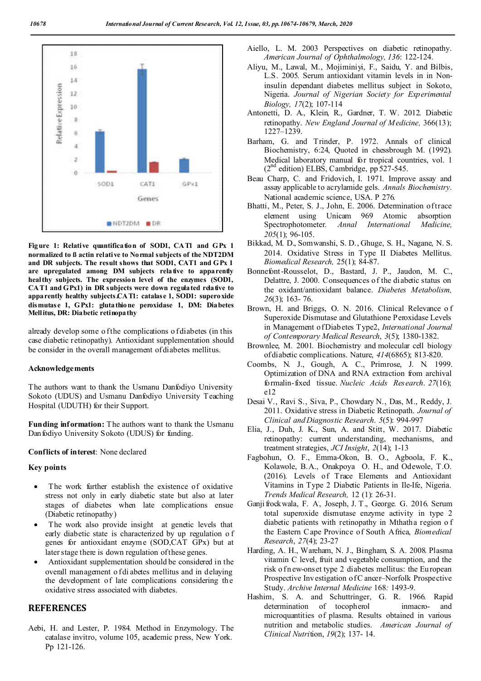

**Figure 1: Relative quantification of SOD1, CAT1 and GPx 1 normalized to ß actin relative to Normal subjects of the NDT2DM and DR subjects. The result shows that SOD1, CAT1 and GPx 1 are upregulated among DM subjects relative to apparently healthy subjects. The expression level of the enzymes (SOD1, CAT1 and GPx1) in DR subjects were down regulated relative to apparently healthy subjects.CAT1: catalase 1, SOD1: superoxide dismutase 1, GPx1: glutathione peroxidase 1, DM: Diabetes Mellitus, DR: Diabetic retinopathy**

already develop some o f the complications o f diabetes (in this case diabetic retinopathy). Antioxidant supplementation should be consider in the overall management of diabetes mellitus.

#### **Acknowledgements**

The authors want to thank the Usmanu Danfodiyo University Sokoto (UDUS) and Usmanu Danfodiyo University Teaching Hospital (UDUTH) for their Support.

**Funding information:** The authors want to thank the Usmanu Danfodiyo University Sokoto (UDUS) for funding.

#### **Conflicts of interest**: None declared

#### **Key points**

- The work further establish the existence of oxidative stress not only in early diabetic state but also at later stages of diabetes when late complications ensue (Diabetic retinopathy)
- The work also provide insight at genetic levels that early diabetic state is characterized by up regulation o f genes for antioxidant enzyme (SOD,CAT GPx) but at later stage there is down regulation of these genes.
- Antioxidant supplementation should be considered in the overall management o f di abetes mellitus and in delaying the development of late complications considering the oxidative stress associated with diabetes.

## **REFERENCES**

Aebi, H. and Lester, P. 1984. Method in Enzymology. The catalase invitro, volume 105, academic press, New York. Pp 121-126.

- Aiello, L. M. 2003 Perspectives on diabetic retinopathy. *American Journal of Ophthalmology, 136*: 122-124.
- Aliyu, M., Lawal, M., Mojiminiyi, F., Saidu, Y. and Bilbis, L.S. 2005. Serum antioxidant vitamin levels in in Noninsulin dependant diabetes mellitus subject in Sokoto, Nigeria. *Journal of Nigerian Society for Experimental Biology, 17*(2); 107-114
- Antonetti, D. A., Klein, R., Gardner, T. W. 2012. Diabetic retinopathy. *New England Journal of Medicine,* 366(13); 1227–1239.
- Barham, G. and Trinder, P. 1972. Annals of clinical Biochemistry, 6:24, Quoted in chessbrough M. (1992). Medical laboratory manual for tropical countries, vol. 1  $(2^{nd}$  edition) ELBS, Cambridge, pp 527-545.
- Beau Charp, C. and Fridovich, I. 1971. Improve assay and assay applicable to acrylamide gels. *Annals Biochemistry*. National academic science, USA. P 276.
- Bhatti, M., Peter, S. J., John, E. 2006. Determination of trace element using Unicam 969 Atomic absorption Spectrophotometer. *Annal International Medicine, 205*(1); 96-105.
- Bikkad, M. D., Somwanshi, S. D., Ghuge, S. H., Nagane, N. S. 2014. Oxidative Stress in Type II Diabetes Mellitus. *Biomedical Research,* 25(1); 84-87.
- Bonnefont-Rousselot, D., Bastard, J. P., Jaudon, M. C., Delattre, J. 2000. Consequences of the di abetic status on the oxidant/antioxidant balance. *Diabetes Metabolism, 26*(3); 163- 76.
- Brown, H. and Briggs, O. N. 2016. Clinical Relevance o f Superoxide Dismutase and Glutathione Peroxidase Levels in Management of Diabetes Type2, *International Journal of Contemporary Medical Research*, *3*(5); 1380-1382.
- Brownlee, M. 2001. Biochemistry and molecular cell biology of diabetic complications. Nature, *414*(6865); 813-820.
- Coombs, N. J., Gough, A. C., Primrose, J. N. 1999. Optimization of DNA and RNA extraction from archival formalin-fixed tissue. *Nucleic Acids Research*. *27*(16); e12
- Desai V., Ravi S., Siva, P., Chowdary N., Das, M., Reddy, J. 2011. Oxidative stress in Diabetic Retinopath. *Journal of Clinical and Diagnostic Research*. *5*(5): 994-997
- Elia, J., Duh, J. K., Sun, A. and Stitt, W. 2017. Diabetic retinopathy: current understanding, mechanisms, and treatment strategies, *JCI Insight*, *2*(14); 1-13
- Fagbohun, O. F., Emma-Okon, B. O., Agboola, F. K., Kolawole, B.A., Onakpoya O. H., and Odewole, T.O. (2016). Levels of Trace Elements and Antioxidant Vitamins in Type 2 Diabetic Patients in Ile-Ife, Nigeria. *Trends Medical Research,* 12 (1): 26-31.
- Ganji frockwala, F. A. , Joseph, J. T., George. G. 2016. Serum total superoxide dismutase enzyme activity in type 2 diabetic patients with retinopathy in Mthatha region o f the Eastern C ape Province of South Africa, *Biomedical Research*, *27*(4); 23-27
- Harding, A. H., Wareham, N. J., Bingham, S. A. 2008. Plasma vitamin C level, fruit and vegetable consumption, and the risk o fn ew-onset type 2 diabetes mellitus: the European Prospective Investigation of C ancer–Norfolk Prospective Study. *Archive Internal Medicine* 168*:* 1493-9.
- Hashim, S. A. and Schuttringer, G. R. 1966. Rapid determination of tocopherol inmacro- and microquantities of plasma. Results obtained in various nutrition and metabolic studies. *American Journal of Clinical Nutri*tion, *19*(2); 137- 14.